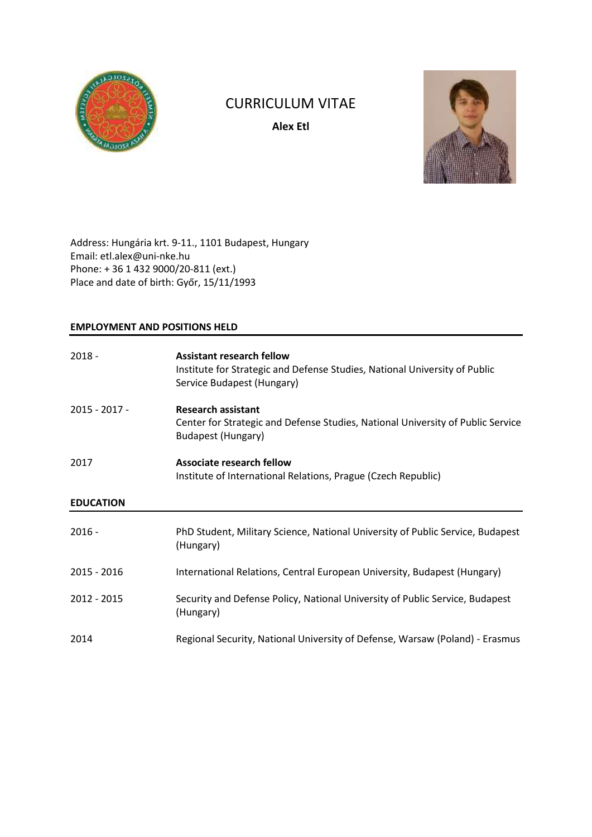

# CURRICULUM VITAE

**Alex Etl**



Address: Hungária krt. 9-11., 1101 Budapest, Hungary Email: etl.alex@uni-nke.hu Phone: + 36 1 432 9000/20-811 (ext.) Place and date of birth: Győr, 15/11/1993

# **EMPLOYMENT AND POSITIONS HELD**

| $2018 -$         | <b>Assistant research fellow</b><br>Institute for Strategic and Defense Studies, National University of Public<br>Service Budapest (Hungary) |
|------------------|----------------------------------------------------------------------------------------------------------------------------------------------|
| 2015 - 2017 -    | <b>Research assistant</b><br>Center for Strategic and Defense Studies, National University of Public Service<br><b>Budapest (Hungary)</b>    |
| 2017             | <b>Associate research fellow</b><br>Institute of International Relations, Prague (Czech Republic)                                            |
| <b>EDUCATION</b> |                                                                                                                                              |
|                  |                                                                                                                                              |
| $2016 -$         | PhD Student, Military Science, National University of Public Service, Budapest<br>(Hungary)                                                  |
| 2015 - 2016      | International Relations, Central European University, Budapest (Hungary)                                                                     |
| 2012 - 2015      | Security and Defense Policy, National University of Public Service, Budapest<br>(Hungary)                                                    |